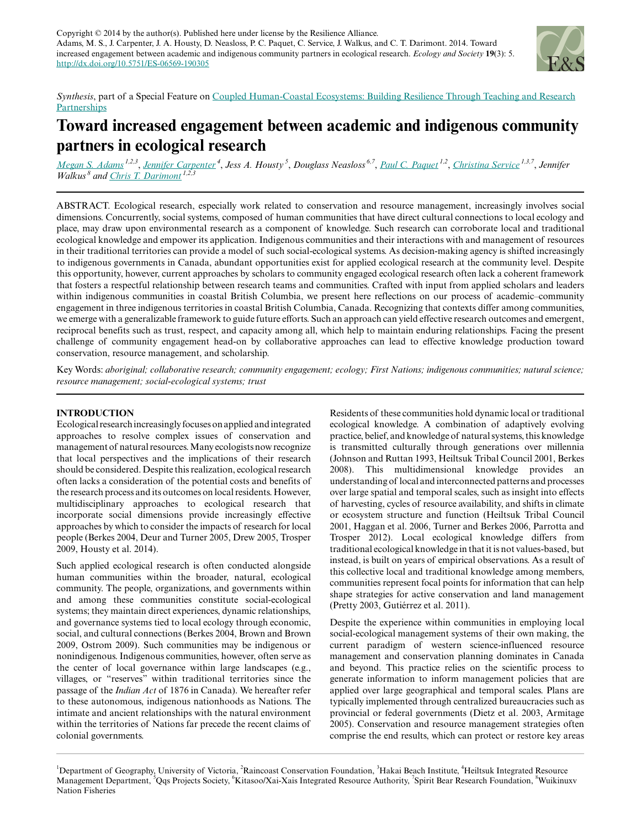Copyright  $© 2014$  by the author(s). Published here under license by the Resilience Alliance. Adams, M. S., J. Carpenter, J. A. Housty, D. Neasloss, P. C. Paquet, C. Service, J. Walkus, and C. T. Darimont. 2014. Toward increased engagement between academic and indigenous community partners in ecological research. *Ecology and Society* **19**(3): 5. <http://dx.doi.org/10.5751/ES-06569-190305>



*Synthesis*, part of a Special Feature on [Coupled Human-Coastal Ecosystems: Building Resilience Through Teaching and Research](http://www.ecologyandsociety.org/viewissue.php?sf=95) **[Partnerships](http://www.ecologyandsociety.org/viewissue.php?sf=95)** 

# **Toward increased engagement between academic and indigenous community partners in ecological research**

<u>[Megan S. Adams](mailto:megan.s.adams@gmail.com)<sup>1,2,3</sup>, [Jennifer Carpenter](mailto:jcarpenter2@heiltsuknation.ca)</u><sup>4</sup>, Jess A. Housty<sup>5</sup>, Douglass Neasloss<sup>6,7</sup>, <u>[Paul C. Paquet](mailto:ppaquet@baudoux.ca)<sup>1,2</sup>, [Christina Service](mailto:christina.service@gmail.com)</u><sup>1,3,7</sup>, Jennifer *Walkus*<sup>8</sup> and *[Chris T. Darimont](mailto:darimont@uvic.ca)*<sup>1,2</sup>,

ABSTRACT. Ecological research, especially work related to conservation and resource management, increasingly involves social dimensions. Concurrently, social systems, composed of human communities that have direct cultural connections to local ecology and place, may draw upon environmental research as a component of knowledge. Such research can corroborate local and traditional ecological knowledge and empower its application. Indigenous communities and their interactions with and management of resources in their traditional territories can provide a model of such social-ecological systems. As decision-making agency is shifted increasingly to indigenous governments in Canada, abundant opportunities exist for applied ecological research at the community level. Despite this opportunity, however, current approaches by scholars to community engaged ecological research often lack a coherent framework that fosters a respectful relationship between research teams and communities. Crafted with input from applied scholars and leaders within indigenous communities in coastal British Columbia, we present here reflections on our process of academic–community engagement in three indigenous territories in coastal British Columbia, Canada. Recognizing that contexts differ among communities, we emerge with a generalizable framework to guide future efforts. Such an approach can yield effective research outcomes and emergent, reciprocal benefits such as trust, respect, and capacity among all, which help to maintain enduring relationships. Facing the present challenge of community engagement head-on by collaborative approaches can lead to effective knowledge production toward conservation, resource management, and scholarship.

Key Words: *aboriginal; collaborative research; community engagement; ecology; First Nations; indigenous communities; natural science; resource management; social-ecological systems; trust*

## **INTRODUCTION**

Ecological research increasingly focuses on applied and integrated approaches to resolve complex issues of conservation and management of natural resources. Many ecologists now recognize that local perspectives and the implications of their research should be considered. Despite this realization, ecological research often lacks a consideration of the potential costs and benefits of the research process and its outcomes on local residents. However, multidisciplinary approaches to ecological research that incorporate social dimensions provide increasingly effective approaches by which to consider the impacts of research for local people (Berkes 2004, Deur and Turner 2005, Drew 2005, Trosper 2009, Housty et al. 2014).

Such applied ecological research is often conducted alongside human communities within the broader, natural, ecological community. The people, organizations, and governments within and among these communities constitute social-ecological systems; they maintain direct experiences, dynamic relationships, and governance systems tied to local ecology through economic, social, and cultural connections (Berkes 2004, Brown and Brown 2009, Ostrom 2009). Such communities may be indigenous or nonindigenous. Indigenous communities, however, often serve as the center of local governance within large landscapes (e.g., villages, or "reserves" within traditional territories since the passage of the *Indian Act* of 1876 in Canada). We hereafter refer to these autonomous, indigenous nationhoods as Nations. The intimate and ancient relationships with the natural environment within the territories of Nations far precede the recent claims of colonial governments.

Residents of these communities hold dynamic local or traditional ecological knowledge. A combination of adaptively evolving practice, belief, and knowledge of natural systems, this knowledge is transmitted culturally through generations over millennia (Johnson and Ruttan 1993, Heiltsuk Tribal Council 2001, Berkes 2008). This multidimensional knowledge provides an understanding of local and interconnected patterns and processes over large spatial and temporal scales, such as insight into effects of harvesting, cycles of resource availability, and shifts in climate or ecosystem structure and function (Heiltsuk Tribal Council 2001, Haggan et al. 2006, Turner and Berkes 2006, Parrotta and Trosper 2012). Local ecological knowledge differs from traditional ecological knowledge in that it is not values-based, but instead, is built on years of empirical observations. As a result of this collective local and traditional knowledge among members, communities represent focal points for information that can help shape strategies for active conservation and land management (Pretty 2003, Gutiérrez et al. 2011).

Despite the experience within communities in employing local social-ecological management systems of their own making, the current paradigm of western science-influenced resource management and conservation planning dominates in Canada and beyond. This practice relies on the scientific process to generate information to inform management policies that are applied over large geographical and temporal scales. Plans are typically implemented through centralized bureaucracies such as provincial or federal governments (Dietz et al. 2003, Armitage 2005). Conservation and resource management strategies often comprise the end results, which can protect or restore key areas

<sup>&</sup>lt;sup>1</sup>Department of Geography, University of Victoria, <sup>2</sup>Raincoast Conservation Foundation, <sup>3</sup>Hakai Beach Institute, <sup>4</sup>Heiltsuk Integrated Resource Management Department, <sup>5</sup>Qqs Projects Society, <sup>6</sup>Kitasoo/Xai-Xais Integrated Resource Authority, <sup>7</sup>Spirit Bear Research Foundation, <sup>8</sup>Wuikinuxv Nation Fisheries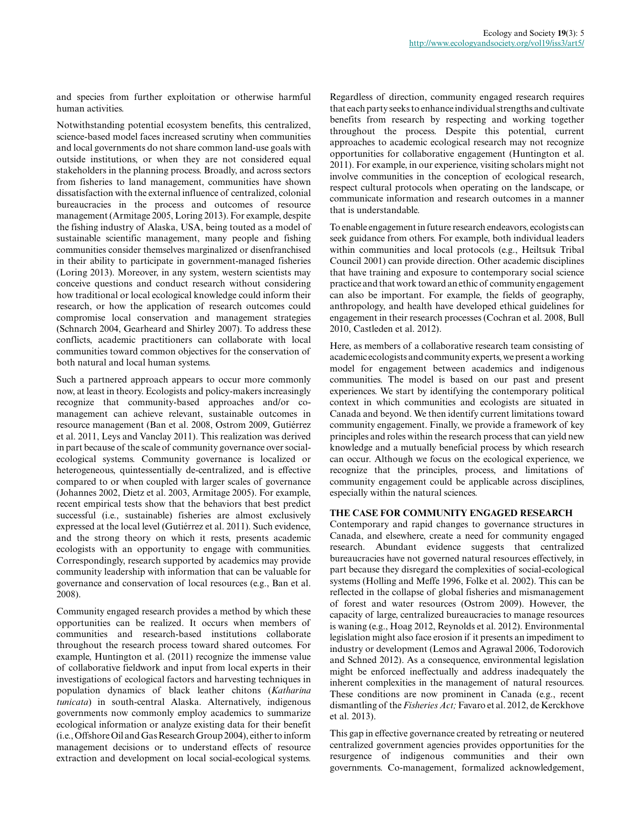and species from further exploitation or otherwise harmful human activities.

Notwithstanding potential ecosystem benefits, this centralized, science-based model faces increased scrutiny when communities and local governments do not share common land-use goals with outside institutions, or when they are not considered equal stakeholders in the planning process. Broadly, and across sectors from fisheries to land management, communities have shown dissatisfaction with the external influence of centralized, colonial bureaucracies in the process and outcomes of resource management (Armitage 2005, Loring 2013). For example, despite the fishing industry of Alaska, USA, being touted as a model of sustainable scientific management, many people and fishing communities consider themselves marginalized or disenfranchised in their ability to participate in government-managed fisheries (Loring 2013). Moreover, in any system, western scientists may conceive questions and conduct research without considering how traditional or local ecological knowledge could inform their research, or how the application of research outcomes could compromise local conservation and management strategies (Schnarch 2004, Gearheard and Shirley 2007). To address these conflicts, academic practitioners can collaborate with local communities toward common objectives for the conservation of both natural and local human systems.

Such a partnered approach appears to occur more commonly now, at least in theory. Ecologists and policy-makers increasingly recognize that community-based approaches and/or comanagement can achieve relevant, sustainable outcomes in resource management (Ban et al. 2008, Ostrom 2009, Gutiérrez et al. 2011, Leys and Vanclay 2011). This realization was derived in part because of the scale of community governance over socialecological systems. Community governance is localized or heterogeneous, quintessentially de-centralized, and is effective compared to or when coupled with larger scales of governance (Johannes 2002, Dietz et al. 2003, Armitage 2005). For example, recent empirical tests show that the behaviors that best predict successful (i.e., sustainable) fisheries are almost exclusively expressed at the local level (Gutiérrez et al. 2011). Such evidence, and the strong theory on which it rests, presents academic ecologists with an opportunity to engage with communities. Correspondingly, research supported by academics may provide community leadership with information that can be valuable for governance and conservation of local resources (e.g., Ban et al. 2008).

Community engaged research provides a method by which these opportunities can be realized. It occurs when members of communities and research-based institutions collaborate throughout the research process toward shared outcomes. For example, Huntington et al. (2011) recognize the immense value of collaborative fieldwork and input from local experts in their investigations of ecological factors and harvesting techniques in population dynamics of black leather chitons (*Katharina tunicata*) in south-central Alaska. Alternatively, indigenous governments now commonly employ academics to summarize ecological information or analyze existing data for their benefit (i.e., Offshore Oil and Gas Research Group 2004), either to inform management decisions or to understand effects of resource extraction and development on local social-ecological systems.

Regardless of direction, community engaged research requires that each party seeks to enhance individual strengths and cultivate benefits from research by respecting and working together throughout the process. Despite this potential, current approaches to academic ecological research may not recognize opportunities for collaborative engagement (Huntington et al. 2011). For example, in our experience, visiting scholars might not involve communities in the conception of ecological research, respect cultural protocols when operating on the landscape, or communicate information and research outcomes in a manner that is understandable.

To enable engagement in future research endeavors, ecologists can seek guidance from others. For example, both individual leaders within communities and local protocols (e.g., Heiltsuk Tribal Council 2001) can provide direction. Other academic disciplines that have training and exposure to contemporary social science practice and that work toward an ethic of community engagement can also be important. For example, the fields of geography, anthropology, and health have developed ethical guidelines for engagement in their research processes (Cochran et al. 2008, Bull 2010, Castleden et al. 2012).

Here, as members of a collaborative research team consisting of academic ecologists and community experts, we present a working model for engagement between academics and indigenous communities. The model is based on our past and present experiences. We start by identifying the contemporary political context in which communities and ecologists are situated in Canada and beyond. We then identify current limitations toward community engagement. Finally, we provide a framework of key principles and roles within the research process that can yield new knowledge and a mutually beneficial process by which research can occur. Although we focus on the ecological experience, we recognize that the principles, process, and limitations of community engagement could be applicable across disciplines, especially within the natural sciences.

## **THE CASE FOR COMMUNITY ENGAGED RESEARCH**

Contemporary and rapid changes to governance structures in Canada, and elsewhere, create a need for community engaged research. Abundant evidence suggests that centralized bureaucracies have not governed natural resources effectively, in part because they disregard the complexities of social-ecological systems (Holling and Meffe 1996, Folke et al. 2002). This can be reflected in the collapse of global fisheries and mismanagement of forest and water resources (Ostrom 2009). However, the capacity of large, centralized bureaucracies to manage resources is waning (e.g., Hoag 2012, Reynolds et al. 2012). Environmental legislation might also face erosion if it presents an impediment to industry or development (Lemos and Agrawal 2006, Todorovich and Schned 2012). As a consequence, environmental legislation might be enforced ineffectually and address inadequately the inherent complexities in the management of natural resources. These conditions are now prominent in Canada (e.g., recent dismantling of the *Fisheries Act;* Favaro et al. 2012, de Kerckhove et al. 2013).

This gap in effective governance created by retreating or neutered centralized government agencies provides opportunities for the resurgence of indigenous communities and their own governments. Co-management, formalized acknowledgement,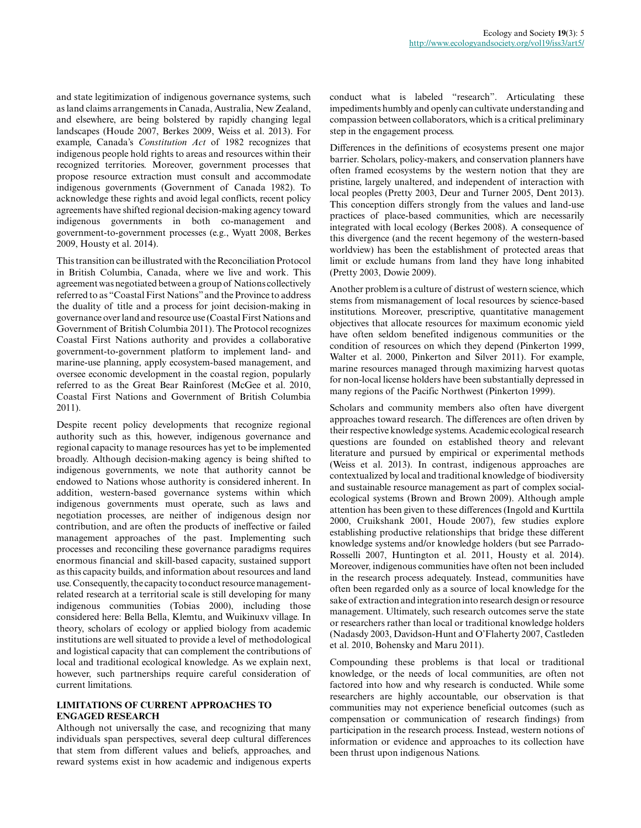and state legitimization of indigenous governance systems, such as land claims arrangements in Canada, Australia, New Zealand, and elsewhere, are being bolstered by rapidly changing legal landscapes (Houde 2007, Berkes 2009, Weiss et al. 2013). For example, Canada's *Constitution Act* of 1982 recognizes that indigenous people hold rights to areas and resources within their recognized territories. Moreover, government processes that propose resource extraction must consult and accommodate indigenous governments (Government of Canada 1982). To acknowledge these rights and avoid legal conflicts, recent policy agreements have shifted regional decision-making agency toward indigenous governments in both co-management and government-to-government processes (e.g., Wyatt 2008, Berkes 2009, Housty et al. 2014).

This transition can be illustrated with the Reconciliation Protocol in British Columbia, Canada, where we live and work. This agreement was negotiated between a group of Nations collectively referred to as "Coastal First Nations" and the Province to address the duality of title and a process for joint decision-making in governance over land and resource use (Coastal First Nations and Government of British Columbia 2011). The Protocol recognizes Coastal First Nations authority and provides a collaborative government-to-government platform to implement land- and marine-use planning, apply ecosystem-based management, and oversee economic development in the coastal region, popularly referred to as the Great Bear Rainforest (McGee et al. 2010, Coastal First Nations and Government of British Columbia 2011).

Despite recent policy developments that recognize regional authority such as this, however, indigenous governance and regional capacity to manage resources has yet to be implemented broadly. Although decision-making agency is being shifted to indigenous governments, we note that authority cannot be endowed to Nations whose authority is considered inherent. In addition, western-based governance systems within which indigenous governments must operate, such as laws and negotiation processes, are neither of indigenous design nor contribution, and are often the products of ineffective or failed management approaches of the past. Implementing such processes and reconciling these governance paradigms requires enormous financial and skill-based capacity, sustained support as this capacity builds, and information about resources and land use. Consequently, the capacity to conduct resource managementrelated research at a territorial scale is still developing for many indigenous communities (Tobias 2000), including those considered here: Bella Bella, Klemtu, and Wuikinuxv village. In theory, scholars of ecology or applied biology from academic institutions are well situated to provide a level of methodological and logistical capacity that can complement the contributions of local and traditional ecological knowledge. As we explain next, however, such partnerships require careful consideration of current limitations.

# **LIMITATIONS OF CURRENT APPROACHES TO ENGAGED RESEARCH**

Although not universally the case, and recognizing that many individuals span perspectives, several deep cultural differences that stem from different values and beliefs, approaches, and reward systems exist in how academic and indigenous experts conduct what is labeled "research". Articulating these impediments humbly and openly can cultivate understanding and compassion between collaborators, which is a critical preliminary step in the engagement process.

Differences in the definitions of ecosystems present one major barrier. Scholars, policy-makers, and conservation planners have often framed ecosystems by the western notion that they are pristine, largely unaltered, and independent of interaction with local peoples (Pretty 2003, Deur and Turner 2005, Dent 2013). This conception differs strongly from the values and land-use practices of place-based communities, which are necessarily integrated with local ecology (Berkes 2008). A consequence of this divergence (and the recent hegemony of the western-based worldview) has been the establishment of protected areas that limit or exclude humans from land they have long inhabited (Pretty 2003, Dowie 2009).

Another problem is a culture of distrust of western science, which stems from mismanagement of local resources by science-based institutions. Moreover, prescriptive, quantitative management objectives that allocate resources for maximum economic yield have often seldom benefited indigenous communities or the condition of resources on which they depend (Pinkerton 1999, Walter et al. 2000, Pinkerton and Silver 2011). For example, marine resources managed through maximizing harvest quotas for non-local license holders have been substantially depressed in many regions of the Pacific Northwest (Pinkerton 1999).

Scholars and community members also often have divergent approaches toward research. The differences are often driven by their respective knowledge systems. Academic ecological research questions are founded on established theory and relevant literature and pursued by empirical or experimental methods (Weiss et al. 2013). In contrast, indigenous approaches are contextualized by local and traditional knowledge of biodiversity and sustainable resource management as part of complex socialecological systems (Brown and Brown 2009). Although ample attention has been given to these differences (Ingold and Kurttila 2000, Cruikshank 2001, Houde 2007), few studies explore establishing productive relationships that bridge these different knowledge systems and/or knowledge holders (but see Parrado-Rosselli 2007, Huntington et al. 2011, Housty et al. 2014). Moreover, indigenous communities have often not been included in the research process adequately. Instead, communities have often been regarded only as a source of local knowledge for the sake of extraction and integration into research design or resource management. Ultimately, such research outcomes serve the state or researchers rather than local or traditional knowledge holders (Nadasdy 2003, Davidson-Hunt and O'Flaherty 2007, Castleden et al. 2010, Bohensky and Maru 2011).

Compounding these problems is that local or traditional knowledge, or the needs of local communities, are often not factored into how and why research is conducted. While some researchers are highly accountable, our observation is that communities may not experience beneficial outcomes (such as compensation or communication of research findings) from participation in the research process. Instead, western notions of information or evidence and approaches to its collection have been thrust upon indigenous Nations.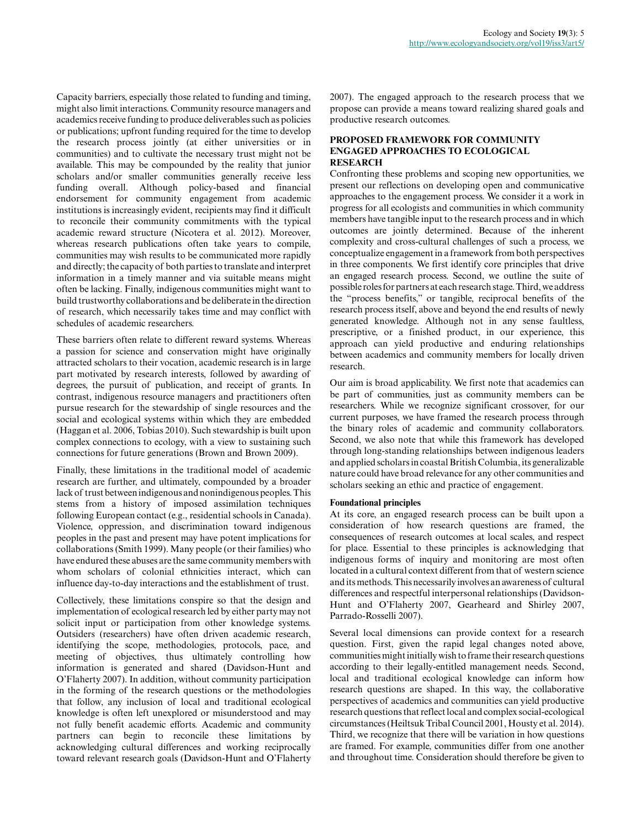Capacity barriers, especially those related to funding and timing, might also limit interactions. Community resource managers and academics receive funding to produce deliverables such as policies or publications; upfront funding required for the time to develop the research process jointly (at either universities or in communities) and to cultivate the necessary trust might not be available. This may be compounded by the reality that junior scholars and/or smaller communities generally receive less funding overall. Although policy-based and financial endorsement for community engagement from academic institutions is increasingly evident, recipients may find it difficult to reconcile their community commitments with the typical academic reward structure (Nicotera et al. 2012). Moreover, whereas research publications often take years to compile, communities may wish results to be communicated more rapidly and directly; the capacity of both parties to translate and interpret information in a timely manner and via suitable means might often be lacking. Finally, indigenous communities might want to build trustworthy collaborations and be deliberate in the direction of research, which necessarily takes time and may conflict with schedules of academic researchers.

These barriers often relate to different reward systems. Whereas a passion for science and conservation might have originally attracted scholars to their vocation, academic research is in large part motivated by research interests, followed by awarding of degrees, the pursuit of publication, and receipt of grants. In contrast, indigenous resource managers and practitioners often pursue research for the stewardship of single resources and the social and ecological systems within which they are embedded (Haggan et al. 2006, Tobias 2010). Such stewardship is built upon complex connections to ecology, with a view to sustaining such connections for future generations (Brown and Brown 2009).

Finally, these limitations in the traditional model of academic research are further, and ultimately, compounded by a broader lack of trust between indigenous and nonindigenous peoples. This stems from a history of imposed assimilation techniques following European contact (e.g., residential schools in Canada). Violence, oppression, and discrimination toward indigenous peoples in the past and present may have potent implications for collaborations (Smith 1999). Many people (or their families) who have endured these abuses are the same community members with whom scholars of colonial ethnicities interact, which can influence day-to-day interactions and the establishment of trust.

Collectively, these limitations conspire so that the design and implementation of ecological research led by either party may not solicit input or participation from other knowledge systems. Outsiders (researchers) have often driven academic research, identifying the scope, methodologies, protocols, pace, and meeting of objectives, thus ultimately controlling how information is generated and shared (Davidson-Hunt and O'Flaherty 2007). In addition, without community participation in the forming of the research questions or the methodologies that follow, any inclusion of local and traditional ecological knowledge is often left unexplored or misunderstood and may not fully benefit academic efforts. Academic and community partners can begin to reconcile these limitations by acknowledging cultural differences and working reciprocally toward relevant research goals (Davidson-Hunt and O'Flaherty 2007). The engaged approach to the research process that we propose can provide a means toward realizing shared goals and productive research outcomes.

## **PROPOSED FRAMEWORK FOR COMMUNITY ENGAGED APPROACHES TO ECOLOGICAL RESEARCH**

Confronting these problems and scoping new opportunities, we present our reflections on developing open and communicative approaches to the engagement process. We consider it a work in progress for all ecologists and communities in which community members have tangible input to the research process and in which outcomes are jointly determined. Because of the inherent complexity and cross-cultural challenges of such a process, we conceptualize engagement in a framework from both perspectives in three components. We first identify core principles that drive an engaged research process. Second, we outline the suite of possible roles for partners at each research stage. Third, we address the "process benefits," or tangible, reciprocal benefits of the research process itself, above and beyond the end results of newly generated knowledge. Although not in any sense faultless, prescriptive, or a finished product, in our experience, this approach can yield productive and enduring relationships between academics and community members for locally driven research.

Our aim is broad applicability. We first note that academics can be part of communities, just as community members can be researchers. While we recognize significant crossover, for our current purposes, we have framed the research process through the binary roles of academic and community collaborators. Second, we also note that while this framework has developed through long-standing relationships between indigenous leaders and applied scholars in coastal British Columbia, its generalizable nature could have broad relevance for any other communities and scholars seeking an ethic and practice of engagement.

## **Foundational principles**

At its core, an engaged research process can be built upon a consideration of how research questions are framed, the consequences of research outcomes at local scales, and respect for place. Essential to these principles is acknowledging that indigenous forms of inquiry and monitoring are most often located in a cultural context different from that of western science and its methods. This necessarily involves an awareness of cultural differences and respectful interpersonal relationships (Davidson-Hunt and O'Flaherty 2007, Gearheard and Shirley 2007, Parrado-Rosselli 2007).

Several local dimensions can provide context for a research question. First, given the rapid legal changes noted above, communities might initially wish to frame their research questions according to their legally-entitled management needs. Second, local and traditional ecological knowledge can inform how research questions are shaped. In this way, the collaborative perspectives of academics and communities can yield productive research questions that reflect local and complex social-ecological circumstances (Heiltsuk Tribal Council 2001, Housty et al. 2014). Third, we recognize that there will be variation in how questions are framed. For example, communities differ from one another and throughout time. Consideration should therefore be given to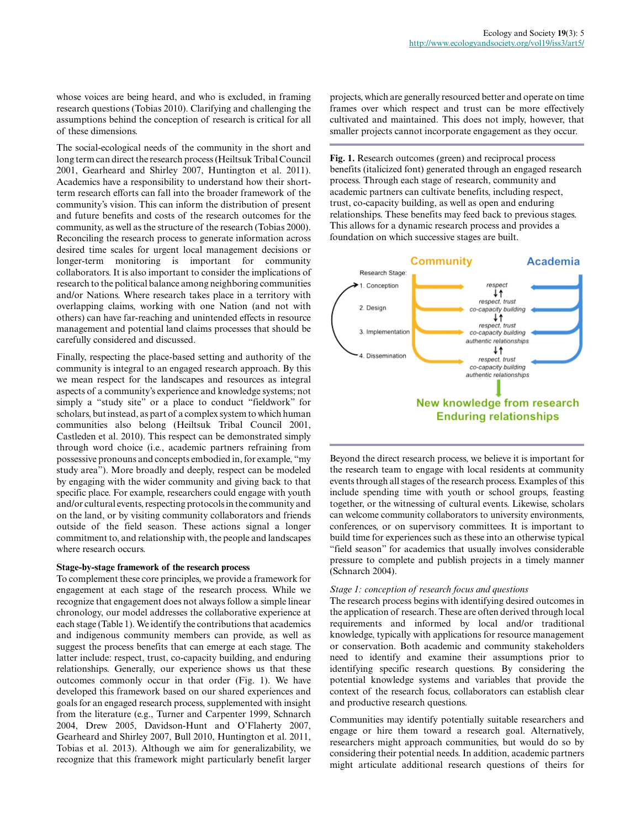whose voices are being heard, and who is excluded, in framing research questions (Tobias 2010). Clarifying and challenging the assumptions behind the conception of research is critical for all of these dimensions.

The social-ecological needs of the community in the short and long term can direct the research process (Heiltsuk Tribal Council 2001, Gearheard and Shirley 2007, Huntington et al. 2011). Academics have a responsibility to understand how their shortterm research efforts can fall into the broader framework of the community's vision. This can inform the distribution of present and future benefits and costs of the research outcomes for the community, as well as the structure of the research (Tobias 2000). Reconciling the research process to generate information across desired time scales for urgent local management decisions or longer-term monitoring is important for community collaborators. It is also important to consider the implications of research to the political balance among neighboring communities and/or Nations. Where research takes place in a territory with overlapping claims, working with one Nation (and not with others) can have far-reaching and unintended effects in resource management and potential land claims processes that should be carefully considered and discussed.

Finally, respecting the place-based setting and authority of the community is integral to an engaged research approach. By this we mean respect for the landscapes and resources as integral aspects of a community's experience and knowledge systems; not simply a "study site" or a place to conduct "fieldwork" for scholars, but instead, as part of a complex system to which human communities also belong (Heiltsuk Tribal Council 2001, Castleden et al. 2010). This respect can be demonstrated simply through word choice (i.e., academic partners refraining from possessive pronouns and concepts embodied in, for example, "my study area"). More broadly and deeply, respect can be modeled by engaging with the wider community and giving back to that specific place. For example, researchers could engage with youth and/or cultural events, respecting protocols in the community and on the land, or by visiting community collaborators and friends outside of the field season. These actions signal a longer commitment to, and relationship with, the people and landscapes where research occurs.

## **Stage-by-stage framework of the research process**

To complement these core principles, we provide a framework for engagement at each stage of the research process. While we recognize that engagement does not always follow a simple linear chronology, our model addresses the collaborative experience at each stage (Table 1). We identify the contributions that academics and indigenous community members can provide, as well as suggest the process benefits that can emerge at each stage. The latter include: respect, trust, co-capacity building, and enduring relationships. Generally, our experience shows us that these outcomes commonly occur in that order (Fig. 1). We have developed this framework based on our shared experiences and goals for an engaged research process, supplemented with insight from the literature (e.g., Turner and Carpenter 1999, Schnarch 2004, Drew 2005, Davidson-Hunt and O'Flaherty 2007, Gearheard and Shirley 2007, Bull 2010, Huntington et al. 2011, Tobias et al. 2013). Although we aim for generalizability, we recognize that this framework might particularly benefit larger

projects, which are generally resourced better and operate on time frames over which respect and trust can be more effectively cultivated and maintained. This does not imply, however, that smaller projects cannot incorporate engagement as they occur.

**Fig. 1.** Research outcomes (green) and reciprocal process benefits (italicized font) generated through an engaged research process. Through each stage of research, community and academic partners can cultivate benefits, including respect, trust, co-capacity building, as well as open and enduring relationships. These benefits may feed back to previous stages. This allows for a dynamic research process and provides a foundation on which successive stages are built.



Beyond the direct research process, we believe it is important for the research team to engage with local residents at community events through all stages of the research process. Examples of this include spending time with youth or school groups, feasting together, or the witnessing of cultural events. Likewise, scholars can welcome community collaborators to university environments, conferences, or on supervisory committees. It is important to build time for experiences such as these into an otherwise typical "field season" for academics that usually involves considerable pressure to complete and publish projects in a timely manner (Schnarch 2004).

#### *Stage 1: conception of research focus and questions*

The research process begins with identifying desired outcomes in the application of research. These are often derived through local requirements and informed by local and/or traditional knowledge, typically with applications for resource management or conservation. Both academic and community stakeholders need to identify and examine their assumptions prior to identifying specific research questions. By considering the potential knowledge systems and variables that provide the context of the research focus, collaborators can establish clear and productive research questions.

Communities may identify potentially suitable researchers and engage or hire them toward a research goal. Alternatively, researchers might approach communities, but would do so by considering their potential needs. In addition, academic partners might articulate additional research questions of theirs for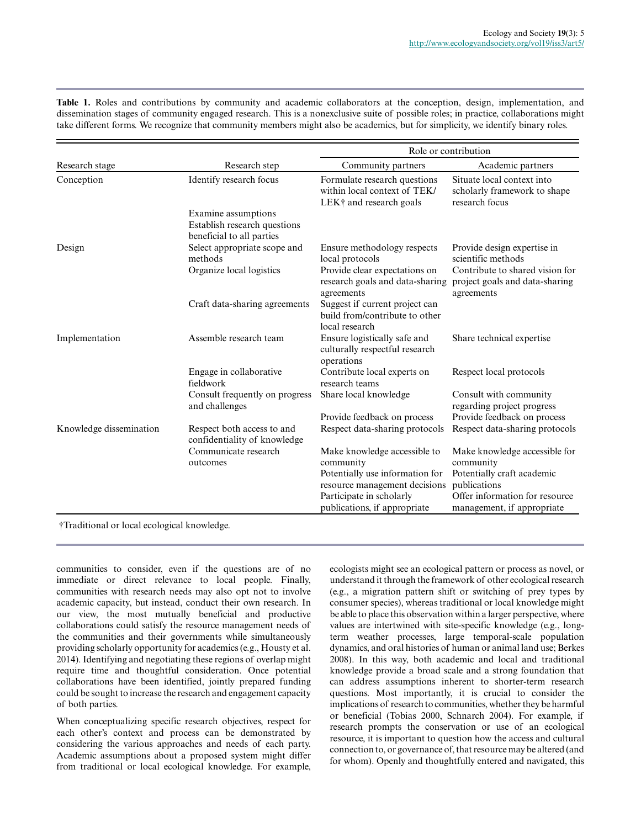**Table 1.** Roles and contributions by community and academic collaborators at the conception, design, implementation, and dissemination stages of community engaged research. This is a nonexclusive suite of possible roles; in practice, collaborations might take different forms. We recognize that community members might also be academics, but for simplicity, we identify binary roles.

|                         | Research step                                                                    | Role or contribution                                                                    |                                                                                 |
|-------------------------|----------------------------------------------------------------------------------|-----------------------------------------------------------------------------------------|---------------------------------------------------------------------------------|
| Research stage          |                                                                                  | Community partners                                                                      | Academic partners                                                               |
| Conception              | Identify research focus                                                          | Formulate research questions<br>within local context of TEK/<br>LEK† and research goals | Situate local context into<br>scholarly framework to shape<br>research focus    |
|                         | Examine assumptions<br>Establish research questions<br>beneficial to all parties |                                                                                         |                                                                                 |
| Design                  | Select appropriate scope and<br>methods                                          | Ensure methodology respects<br>local protocols                                          | Provide design expertise in<br>scientific methods                               |
|                         | Organize local logistics                                                         | Provide clear expectations on<br>research goals and data-sharing<br>agreements          | Contribute to shared vision for<br>project goals and data-sharing<br>agreements |
|                         | Craft data-sharing agreements                                                    | Suggest if current project can<br>build from/contribute to other<br>local research      |                                                                                 |
| Implementation          | Assemble research team                                                           | Ensure logistically safe and<br>culturally respectful research<br>operations            | Share technical expertise                                                       |
|                         | Engage in collaborative<br>fieldwork                                             | Contribute local experts on<br>research teams                                           | Respect local protocols                                                         |
|                         | Consult frequently on progress<br>and challenges                                 | Share local knowledge                                                                   | Consult with community<br>regarding project progress                            |
|                         |                                                                                  | Provide feedback on process                                                             | Provide feedback on process                                                     |
| Knowledge dissemination | Respect both access to and<br>confidentiality of knowledge                       | Respect data-sharing protocols                                                          | Respect data-sharing protocols                                                  |
|                         | Communicate research                                                             | Make knowledge accessible to                                                            | Make knowledge accessible for                                                   |
|                         | outcomes                                                                         | community                                                                               | community                                                                       |
|                         |                                                                                  | Potentially use information for                                                         | Potentially craft academic                                                      |
|                         |                                                                                  | resource management decisions                                                           | publications                                                                    |
|                         |                                                                                  | Participate in scholarly                                                                | Offer information for resource                                                  |
|                         |                                                                                  | publications, if appropriate                                                            | management, if appropriate                                                      |

†Traditional or local ecological knowledge.

communities to consider, even if the questions are of no immediate or direct relevance to local people. Finally, communities with research needs may also opt not to involve academic capacity, but instead, conduct their own research. In our view, the most mutually beneficial and productive collaborations could satisfy the resource management needs of the communities and their governments while simultaneously providing scholarly opportunity for academics (e.g., Housty et al. 2014). Identifying and negotiating these regions of overlap might require time and thoughtful consideration. Once potential collaborations have been identified, jointly prepared funding could be sought to increase the research and engagement capacity of both parties.

When conceptualizing specific research objectives, respect for each other's context and process can be demonstrated by considering the various approaches and needs of each party. Academic assumptions about a proposed system might differ from traditional or local ecological knowledge. For example, ecologists might see an ecological pattern or process as novel, or understand it through the framework of other ecological research (e.g., a migration pattern shift or switching of prey types by consumer species), whereas traditional or local knowledge might be able to place this observation within a larger perspective, where values are intertwined with site-specific knowledge (e.g., longterm weather processes, large temporal-scale population dynamics, and oral histories of human or animal land use; Berkes 2008). In this way, both academic and local and traditional knowledge provide a broad scale and a strong foundation that can address assumptions inherent to shorter-term research questions. Most importantly, it is crucial to consider the implications of research to communities, whether they be harmful or beneficial (Tobias 2000, Schnarch 2004). For example, if research prompts the conservation or use of an ecological resource, it is important to question how the access and cultural connection to, or governance of, that resource may be altered (and for whom). Openly and thoughtfully entered and navigated, this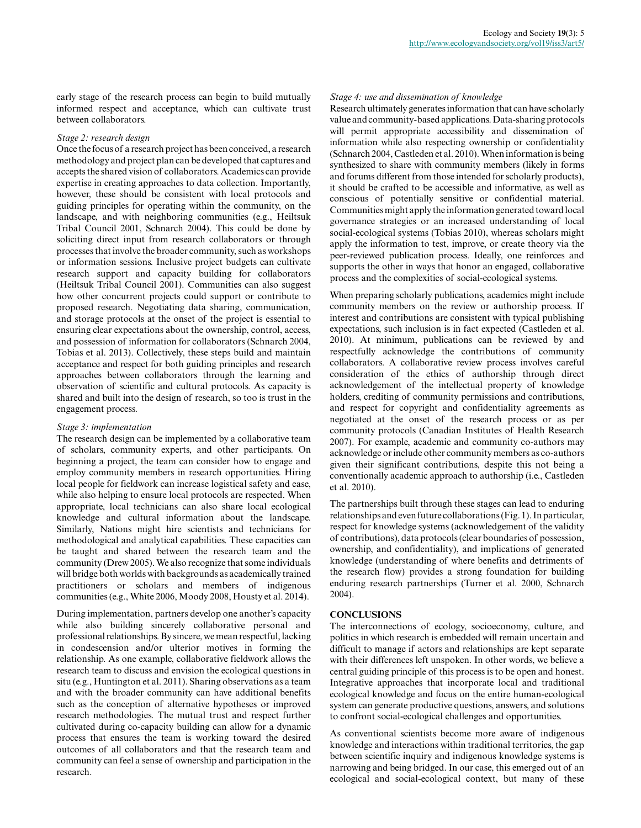early stage of the research process can begin to build mutually informed respect and acceptance, which can cultivate trust between collaborators.

## *Stage 2: research design*

Once the focus of a research project has been conceived, a research methodology and project plan can be developed that captures and accepts the shared vision of collaborators. Academics can provide expertise in creating approaches to data collection. Importantly, however, these should be consistent with local protocols and guiding principles for operating within the community, on the landscape, and with neighboring communities (e.g., Heiltsuk Tribal Council 2001, Schnarch 2004). This could be done by soliciting direct input from research collaborators or through processes that involve the broader community, such as workshops or information sessions. Inclusive project budgets can cultivate research support and capacity building for collaborators (Heiltsuk Tribal Council 2001). Communities can also suggest how other concurrent projects could support or contribute to proposed research. Negotiating data sharing, communication, and storage protocols at the onset of the project is essential to ensuring clear expectations about the ownership, control, access, and possession of information for collaborators (Schnarch 2004, Tobias et al. 2013). Collectively, these steps build and maintain acceptance and respect for both guiding principles and research approaches between collaborators through the learning and observation of scientific and cultural protocols. As capacity is shared and built into the design of research, so too is trust in the engagement process.

## *Stage 3: implementation*

The research design can be implemented by a collaborative team of scholars, community experts, and other participants. On beginning a project, the team can consider how to engage and employ community members in research opportunities. Hiring local people for fieldwork can increase logistical safety and ease, while also helping to ensure local protocols are respected. When appropriate, local technicians can also share local ecological knowledge and cultural information about the landscape. Similarly, Nations might hire scientists and technicians for methodological and analytical capabilities. These capacities can be taught and shared between the research team and the community (Drew 2005). We also recognize that some individuals will bridge both worlds with backgrounds as academically trained practitioners or scholars and members of indigenous communities (e.g., White 2006, Moody 2008, Housty et al. 2014).

During implementation, partners develop one another's capacity while also building sincerely collaborative personal and professional relationships. By sincere, we mean respectful, lacking in condescension and/or ulterior motives in forming the relationship. As one example, collaborative fieldwork allows the research team to discuss and envision the ecological questions in situ (e.g., Huntington et al. 2011). Sharing observations as a team and with the broader community can have additional benefits such as the conception of alternative hypotheses or improved research methodologies. The mutual trust and respect further cultivated during co-capacity building can allow for a dynamic process that ensures the team is working toward the desired outcomes of all collaborators and that the research team and community can feel a sense of ownership and participation in the research.

## *Stage 4: use and dissemination of knowledge*

Research ultimately generates information that can have scholarly value and community-based applications. Data-sharing protocols will permit appropriate accessibility and dissemination of information while also respecting ownership or confidentiality (Schnarch 2004, Castleden et al. 2010). When information is being synthesized to share with community members (likely in forms and forums different from those intended for scholarly products), it should be crafted to be accessible and informative, as well as conscious of potentially sensitive or confidential material. Communities might apply the information generated toward local governance strategies or an increased understanding of local social-ecological systems (Tobias 2010), whereas scholars might apply the information to test, improve, or create theory via the peer-reviewed publication process. Ideally, one reinforces and supports the other in ways that honor an engaged, collaborative process and the complexities of social-ecological systems.

When preparing scholarly publications, academics might include community members on the review or authorship process. If interest and contributions are consistent with typical publishing expectations, such inclusion is in fact expected (Castleden et al. 2010). At minimum, publications can be reviewed by and respectfully acknowledge the contributions of community collaborators. A collaborative review process involves careful consideration of the ethics of authorship through direct acknowledgement of the intellectual property of knowledge holders, crediting of community permissions and contributions, and respect for copyright and confidentiality agreements as negotiated at the onset of the research process or as per community protocols (Canadian Institutes of Health Research 2007). For example, academic and community co-authors may acknowledge or include other community members as co-authors given their significant contributions, despite this not being a conventionally academic approach to authorship (i.e., Castleden et al. 2010).

The partnerships built through these stages can lead to enduring relationships and even future collaborations (Fig. 1). In particular, respect for knowledge systems (acknowledgement of the validity of contributions), data protocols (clear boundaries of possession, ownership, and confidentiality), and implications of generated knowledge (understanding of where benefits and detriments of the research flow) provides a strong foundation for building enduring research partnerships (Turner et al. 2000, Schnarch 2004).

# **CONCLUSIONS**

The interconnections of ecology, socioeconomy, culture, and politics in which research is embedded will remain uncertain and difficult to manage if actors and relationships are kept separate with their differences left unspoken. In other words, we believe a central guiding principle of this process is to be open and honest. Integrative approaches that incorporate local and traditional ecological knowledge and focus on the entire human-ecological system can generate productive questions, answers, and solutions to confront social-ecological challenges and opportunities.

As conventional scientists become more aware of indigenous knowledge and interactions within traditional territories, the gap between scientific inquiry and indigenous knowledge systems is narrowing and being bridged. In our case, this emerged out of an ecological and social-ecological context, but many of these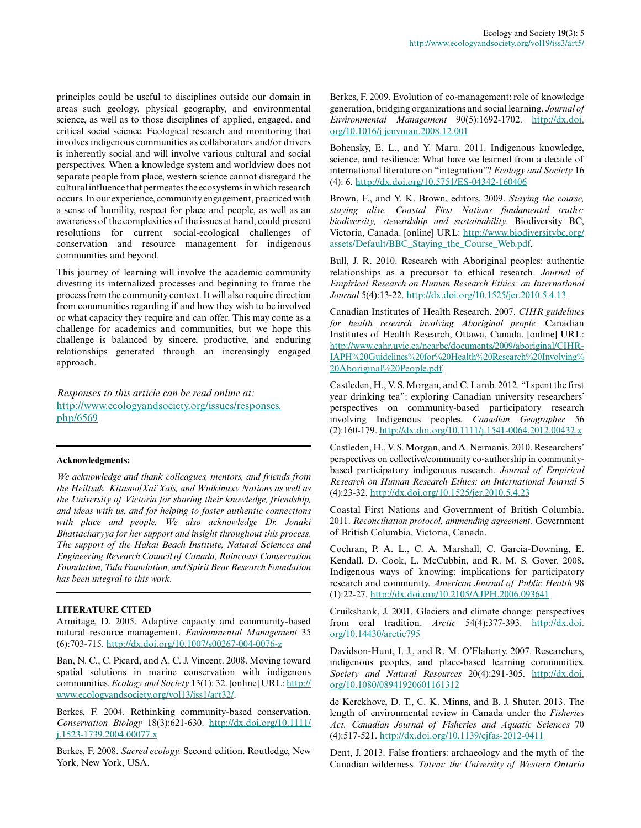principles could be useful to disciplines outside our domain in areas such geology, physical geography, and environmental science, as well as to those disciplines of applied, engaged, and critical social science. Ecological research and monitoring that involves indigenous communities as collaborators and/or drivers is inherently social and will involve various cultural and social perspectives. When a knowledge system and worldview does not separate people from place, western science cannot disregard the cultural influence that permeates the ecosystems in which research occurs. In our experience, community engagement, practiced with a sense of humility, respect for place and people, as well as an awareness of the complexities of the issues at hand, could present resolutions for current social-ecological challenges of conservation and resource management for indigenous communities and beyond.

This journey of learning will involve the academic community divesting its internalized processes and beginning to frame the process from the community context. It will also require direction from communities regarding if and how they wish to be involved or what capacity they require and can offer. This may come as a challenge for academics and communities, but we hope this challenge is balanced by sincere, productive, and enduring relationships generated through an increasingly engaged approach.

*Responses to this article can be read online at:* [http://www.ecologyandsociety.org/issues/responses.](http://www.ecologyandsociety.org/issues/responses.php/6569) [php/6569](http://www.ecologyandsociety.org/issues/responses.php/6569)

## **Acknowledgments:**

*We acknowledge and thank colleagues, mentors, and friends from the Heiltsuk, Kitasoo/Xai'Xais, and Wuikinuxv Nations as well as the University of Victoria for sharing their knowledge, friendship, and ideas with us, and for helping to foster authentic connections with place and people. We also acknowledge Dr. Jonaki Bhattacharyya for her support and insight throughout this process. The support of the Hakai Beach Institute, Natural Sciences and Engineering Research Council of Canada, Raincoast Conservation Foundation, Tula Foundation, and Spirit Bear Research Foundation has been integral to this work.*

# **LITERATURE CITED**

Armitage, D. 2005. Adaptive capacity and community-based natural resource management. *Environmental Management* 35 (6):703-715. [http://dx.doi.org/10.1007/s00267-004-0076-z](http://dx.doi.org/10.1007%2Fs00267-004-0076-z)

Ban, N. C., C. Picard, and A. C. J. Vincent. 2008. Moving toward spatial solutions in marine conservation with indigenous communities. *Ecology and Society* 13(1): 32. [online] URL: [http://](http://www.ecologyandsociety.org/vol13/iss1/art32/) [www.ecologyandsociety.org/vol13/iss1/art32/](http://www.ecologyandsociety.org/vol13/iss1/art32/).

Berkes, F. 2004. Rethinking community-based conservation. *Conservation Biology* 18(3):621-630. [http://dx.doi.org/10.1111/](http://dx.doi.org/10.1111%2Fj.1523-1739.2004.00077.x) [j.1523-1739.2004.00077.x](http://dx.doi.org/10.1111%2Fj.1523-1739.2004.00077.x)

Berkes, F. 2008. *Sacred ecology.* Second edition. Routledge, New York, New York, USA.

Berkes, F. 2009. Evolution of co-management: role of knowledge generation, bridging organizations and social learning. *Journal of Environmental Management* 90(5):1692-1702. [http://dx.doi.](http://dx.doi.org/10.1016%2Fj.jenvman.2008.12.001) [org/10.1016/j.jenvman.2008.12.001](http://dx.doi.org/10.1016%2Fj.jenvman.2008.12.001)

Bohensky, E. L., and Y. Maru. 2011. Indigenous knowledge, science, and resilience: What have we learned from a decade of international literature on "integration"? *Ecology and Society* 16 (4): 6. [http://dx.doi.org/10.5751/ES-04342-160406](http://dx.doi.org/10.5751%2FES-04342-160406)

Brown, F., and Y. K. Brown, editors. 2009. *Staying the course, staying alive. Coastal First Nations fundamental truths: biodiversity, stewardship and sustainability.* Biodiversity BC, Victoria, Canada. [online] URL: [http://www.biodiversitybc.org/](http://www.biodiversitybc.org/assets/Default/BBC_Staying_the_Course_Web.pdf) [assets/Default/BBC\\_Staying\\_the\\_Course\\_Web.pdf.](http://www.biodiversitybc.org/assets/Default/BBC_Staying_the_Course_Web.pdf)

Bull, J. R. 2010. Research with Aboriginal peoples: authentic relationships as a precursor to ethical research. *Journal of Empirical Research on Human Research Ethics: an International Journal* 5(4):13-22. [http://dx.doi.org/10.1525/jer.2010.5.4.13](http://dx.doi.org/10.1525%2Fjer.2010.5.4.13)

Canadian Institutes of Health Research. 2007. *CIHR guidelines for health research involving Aboriginal people.* Canadian Institutes of Health Research, Ottawa, Canada. [online] URL: [http://www.cahr.uvic.ca/nearbc/documents/2009/aboriginal/CIHR-](http://www.cahr.uvic.ca/nearbc/documents/2009/aboriginal/CIHR-IAPH%20Guidelines%20for%20Health%20Research%20Involving%20Aboriginal%20People.pdf)[IAPH%20Guidelines%20for%20Health%20Research%20Involving%](http://www.cahr.uvic.ca/nearbc/documents/2009/aboriginal/CIHR-IAPH%20Guidelines%20for%20Health%20Research%20Involving%20Aboriginal%20People.pdf) [20Aboriginal%20People.pdf.](http://www.cahr.uvic.ca/nearbc/documents/2009/aboriginal/CIHR-IAPH%20Guidelines%20for%20Health%20Research%20Involving%20Aboriginal%20People.pdf)

Castleden, H., V. S. Morgan, and C. Lamb. 2012. "I spent the first year drinking tea": exploring Canadian university researchers' perspectives on community-based participatory research involving Indigenous peoples. *Canadian Geographer* 56 (2):160-179. [http://dx.doi.org/10.1111/j.1541-0064.2012.00432.x](http://dx.doi.org/10.1111%2Fj.1541-0064.2012.00432.x)

Castleden, H., V. S. Morgan, and A. Neimanis. 2010. Researchers' perspectives on collective/community co-authorship in communitybased participatory indigenous research. *Journal of Empirical Research on Human Research Ethics: an International Journal* 5 (4):23-32. [http://dx.doi.org/10.1525/jer.2010.5.4.23](http://dx.doi.org/10.1525%2Fjer.2010.5.4.23)

Coastal First Nations and Government of British Columbia. 2011. *Reconciliation protocol, ammending agreement.* Government of British Columbia, Victoria, Canada.

Cochran, P. A. L., C. A. Marshall, C. Garcia-Downing, E. Kendall, D. Cook, L. McCubbin, and R. M. S. Gover. 2008. Indigenous ways of knowing: implications for participatory research and community. *American Journal of Public Health* 98 (1):22-27. [http://dx.doi.org/10.2105/AJPH.2006.093641](http://dx.doi.org/10.2105%2FAJPH.2006.093641)

Cruikshank, J. 2001. Glaciers and climate change: perspectives from oral tradition. *Arctic* 54(4):377-393. [http://dx.doi.](http://dx.doi.org/10.14430%2Farctic795) [org/10.14430/arctic795](http://dx.doi.org/10.14430%2Farctic795)

Davidson-Hunt, I. J., and R. M. O'Flaherty. 2007. Researchers, indigenous peoples, and place-based learning communities. *Society and Natural Resources* 20(4):291-305. [http://dx.doi.](http://dx.doi.org/10.1080%2F08941920601161312) [org/10.1080/08941920601161312](http://dx.doi.org/10.1080%2F08941920601161312)

de Kerckhove, D. T., C. K. Minns, and B. J. Shuter. 2013. The length of environmental review in Canada under the *Fisheries Act. Canadian Journal of Fisheries and Aquatic Sciences* 70 (4):517-521. [http://dx.doi.org/10.1139/cjfas-2012-0411](http://dx.doi.org/10.1139%2Fcjfas-2012-0411)

Dent, J. 2013. False frontiers: archaeology and the myth of the Canadian wilderness. *Totem: the University of Western Ontario*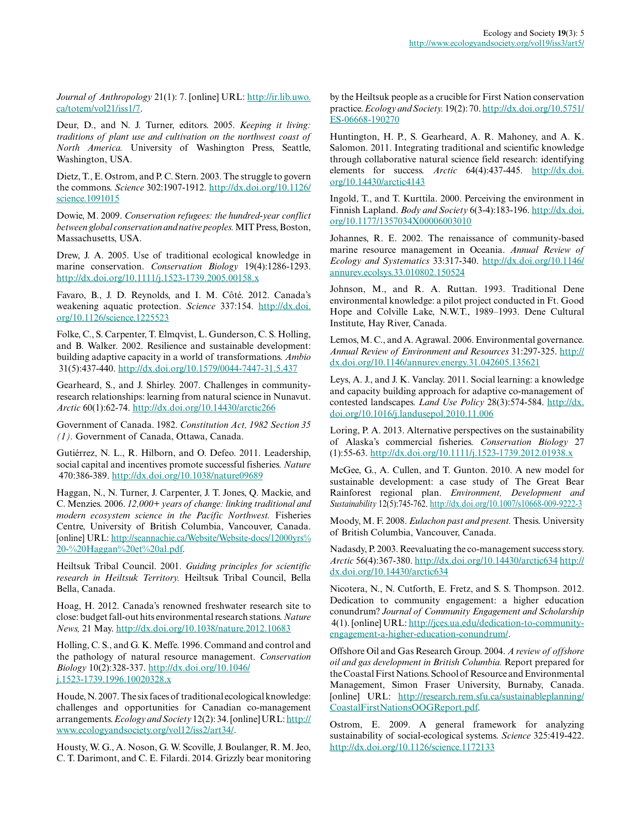*Journal of Anthropology* 21(1): 7. [online] URL: [http://ir.lib.uwo.](http://ir.lib.uwo.ca/totem/vol21/iss1/7) [ca/totem/vol21/iss1/7.](http://ir.lib.uwo.ca/totem/vol21/iss1/7)

Deur, D., and N. J. Turner, editors. 2005. *Keeping it living: traditions of plant use and cultivation on the northwest coast of North America.* University of Washington Press, Seattle, Washington, USA.

Dietz, T., E. Ostrom, and P. C. Stern. 2003. The struggle to govern the commons. *Science* 302:1907-1912. [http://dx.doi.org/10.1126/](http://dx.doi.org/10.1126%2Fscience.1091015) [science.1091015](http://dx.doi.org/10.1126%2Fscience.1091015)

Dowie, M. 2009. *Conservation refugees: the hundred-year conflict between global conservation and native peoples.* MIT Press, Boston, Massachusetts, USA.

Drew, J. A. 2005. Use of traditional ecological knowledge in marine conservation. *Conservation Biology* 19(4):1286-1293. [http://dx.doi.org/10.1111/j.1523-1739.2005.00158.x](http://dx.doi.org/10.1111%2Fj.1523-1739.2005.00158.x)

Favaro, B., J. D. Reynolds, and I. M. Côté. 2012. Canada's weakening aquatic protection. *Science* 337:154. [http://dx.doi.](http://dx.doi.org/10.1126%2Fscience.1225523) [org/10.1126/science.1225523](http://dx.doi.org/10.1126%2Fscience.1225523)

Folke, C., S. Carpenter, T. Elmqvist, L. Gunderson, C. S. Holling, and B. Walker. 2002. Resilience and sustainable development: building adaptive capacity in a world of transformations. *Ambio* 31(5):437-440. [http://dx.doi.org/10.1579/0044-7447-31.5.437](http://dx.doi.org/10.1579%2F0044-7447-31.5.437)

Gearheard, S., and J. Shirley. 2007. Challenges in communityresearch relationships: learning from natural science in Nunavut. *Arctic* 60(1):62-74. [http://dx.doi.org/10.14430/arctic266](http://dx.doi.org/10.14430%2Farctic266)

Government of Canada. 1982. *Constitution Act, 1982 Section 35 (1).* Government of Canada, Ottawa, Canada.

Gutiérrez, N. L., R. Hilborn, and O. Defeo. 2011. Leadership, social capital and incentives promote successful fisheries. *Nature* 470:386-389. [http://dx.doi.org/10.1038/nature09689](http://dx.doi.org/10.1038%2Fnature09689)

Haggan, N., N. Turner, J. Carpenter, J. T. Jones, Q. Mackie, and C. Menzies. 2006. *12,000+ years of change: linking traditional and modern ecosystem science in the Pacific Northwest.* Fisheries Centre, University of British Columbia, Vancouver, Canada. [online] URL: [http://seannachie.ca/Website/Website-docs/12000yrs%](http://seannachie.ca/Website/Website-docs/12000yrs%20-%20Haggan%20et%20al.pdf) [20-%20Haggan%20et%20al.pdf.](http://seannachie.ca/Website/Website-docs/12000yrs%20-%20Haggan%20et%20al.pdf)

Heiltsuk Tribal Council. 2001. *Guiding principles for scientific research in Heiltsuk Territory.* Heiltsuk Tribal Council, Bella Bella, Canada.

Hoag, H. 2012. Canada's renowned freshwater research site to close: budget fall-out hits environmental research stations. *Nature News,* 21 May. [http://dx.doi.org/10.1038/nature.2012.10683](http://dx.doi.org/10.1038%2Fnature.2012.10683)

Holling, C. S., and G. K. Meffe. 1996. Command and control and the pathology of natural resource management. *Conservation Biology* 10(2):328-337. [http://dx.doi.org/10.1046/](http://dx.doi.org/10.1046%2Fj.1523-1739.1996.10020328.x) [j.1523-1739.1996.10020328.x](http://dx.doi.org/10.1046%2Fj.1523-1739.1996.10020328.x)

Houde, N. 2007. The six faces of traditional ecological knowledge: challenges and opportunities for Canadian co-management arrangements. *Ecology and Society* 12(2): 34. [online] URL: [http://](http://www.ecologyandsociety.org/vol12/iss2/art34/) [www.ecologyandsociety.org/vol12/iss2/art34/](http://www.ecologyandsociety.org/vol12/iss2/art34/).

Housty, W. G., A. Noson, G. W. Scoville, J. Boulanger, R. M. Jeo, C. T. Darimont, and C. E. Filardi. 2014. Grizzly bear monitoring by the Heiltsuk people as a crucible for First Nation conservation practice. *Ecology and Society.* 19(2): 70. [http://dx.doi.org/10.5751/](http://dx.doi.org/10.5751/ES-06668-190270) [ES-06668-190270](http://dx.doi.org/10.5751/ES-06668-190270)

Huntington, H. P., S. Gearheard, A. R. Mahoney, and A. K. Salomon. 2011. Integrating traditional and scientific knowledge through collaborative natural science field research: identifying elements for success. *Arctic* 64(4):437-445. [http://dx.doi.](http://dx.doi.org/10.14430%2Farctic4143) [org/10.14430/arctic4143](http://dx.doi.org/10.14430%2Farctic4143)

Ingold, T., and T. Kurttila. 2000. Perceiving the environment in Finnish Lapland. *Body and Society* 6(3-4):183-196. [http://dx.doi.](http://dx.doi.org/10.1177%2F1357034X00006003010) [org/10.1177/1357034X00006003010](http://dx.doi.org/10.1177%2F1357034X00006003010)

Johannes, R. E. 2002. The renaissance of community-based marine resource management in Oceania. *Annual Review of Ecology and Systematics* 33:317-340. [http://dx.doi.org/10.1146/](http://dx.doi.org/10.1146%2Fannurev.ecolsys.33.010802.150524) [annurev.ecolsys.33.010802.150524](http://dx.doi.org/10.1146%2Fannurev.ecolsys.33.010802.150524)

Johnson, M., and R. A. Ruttan. 1993. Traditional Dene environmental knowledge: a pilot project conducted in Ft. Good Hope and Colville Lake, N.W.T., 1989–1993. Dene Cultural Institute, Hay River, Canada.

Lemos, M. C., and A. Agrawal. 2006. Environmental governance. *Annual Review of Environment and Resources* 31:297-325. [http://](http://dx.doi.org/10.1146%2Fannurev.energy.31.042605.135621) [dx.doi.org/10.1146/annurev.energy.31.042605.135621](http://dx.doi.org/10.1146%2Fannurev.energy.31.042605.135621)

Leys, A. J., and J. K. Vanclay. 2011. Social learning: a knowledge and capacity building approach for adaptive co-management of contested landscapes. *Land Use Policy* 28(3):574-584. [http://dx.](http://dx.doi.org/10.1016%2Fj.landusepol.2010.11.006) [doi.org/10.1016/j.landusepol.2010.11.006](http://dx.doi.org/10.1016%2Fj.landusepol.2010.11.006)

Loring, P. A. 2013. Alternative perspectives on the sustainability of Alaska's commercial fisheries. *Conservation Biology* 27 (1):55-63. [http://dx.doi.org/10.1111/j.1523-1739.2012.01938.x](http://dx.doi.org/10.1111%2Fj.1523-1739.2012.01938.x)

McGee, G., A. Cullen, and T. Gunton. 2010. A new model for sustainable development: a case study of The Great Bear Rainforest regional plan. *Environment, Development and Sustainability* 12(5):745-762. [http://dx.doi.org/10.1007/s10668-009-9222-3](http://dx.doi.org/10.1007%2Fs10668-009-9222-3)

Moody, M. F. 2008. *Eulachon past and present.* Thesis. University of British Columbia, Vancouver, Canada.

Nadasdy, P. 2003. Reevaluating the co-management success story. *Arctic* 56(4):367-380.<http://dx.doi.org/10.14430/arctic634> [http://](http://dx.doi.org/10.14430%2Farctic634) [dx.doi.org/10.14430/arctic634](http://dx.doi.org/10.14430%2Farctic634)

Nicotera, N., N. Cutforth, E. Fretz, and S. S. Thompson. 2012. Dedication to community engagement: a higher education conundrum? *Journal of Community Engagement and Scholarship* 4(1). [online] URL: [http://jces.ua.edu/dedication-to-community](http://jces.ua.edu/dedication-to-community-engagement-a-higher-education-conundrum/)[engagement-a-higher-education-conundrum/](http://jces.ua.edu/dedication-to-community-engagement-a-higher-education-conundrum/).

Offshore Oil and Gas Research Group. 2004. *A review of offshore oil and gas development in British Columbia.* Report prepared for the Coastal First Nations. School of Resource and Environmental Management, Simon Fraser University, Burnaby, Canada. [online] URL: [http://research.rem.sfu.ca/sustainableplanning/](http://research.rem.sfu.ca/sustainableplanning/CoastalFirstNationsOOGReport.pdf) [CoastalFirstNationsOOGReport.pdf.](http://research.rem.sfu.ca/sustainableplanning/CoastalFirstNationsOOGReport.pdf)

Ostrom, E. 2009. A general framework for analyzing sustainability of social-ecological systems. *Science* 325:419-422. [http://dx.doi.org/10.1126/science.1172133](http://dx.doi.org/10.1126%2Fscience.1172133)